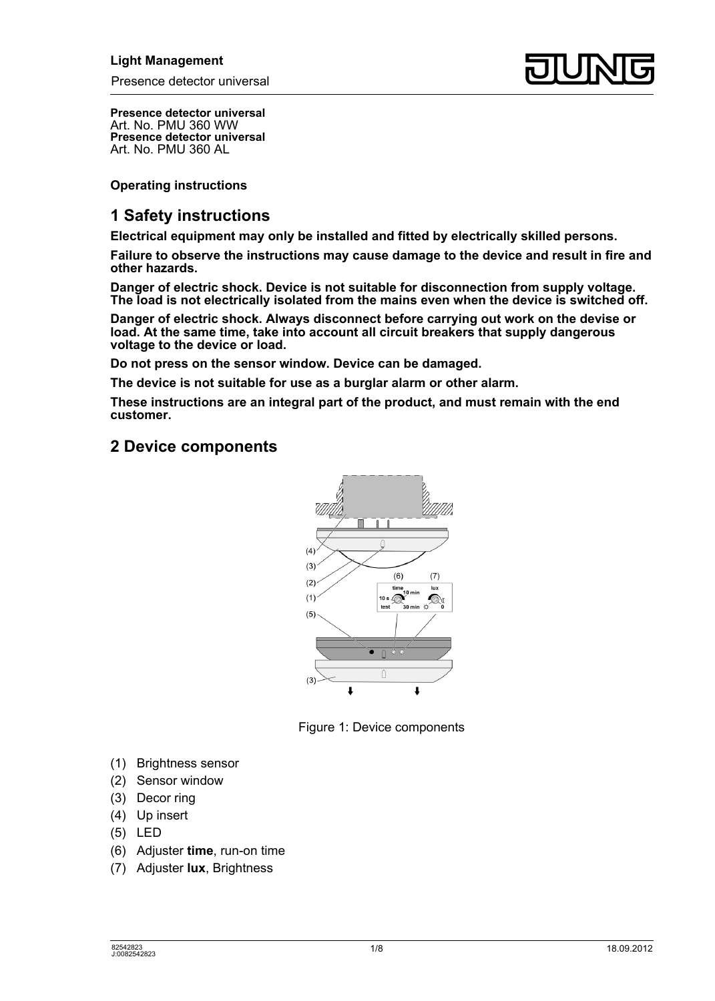

**Presence detector universal**  Art. No. PMU 360 WW **Presence detector universal**  Art. No. PMU 360 AL

**Operating instructions** 

## **1 Safety instructions**

**Electrical equipment may only be installed and fitted by electrically skilled persons.** 

**Failure to observe the instructions may cause damage to the device and result in fire and other hazards.** 

**Danger of electric shock. Device is not suitable for disconnection from supply voltage. The load is not electrically isolated from the mains even when the device is switched off.** 

**Danger of electric shock. Always disconnect before carrying out work on the devise or load. At the same time, take into account all circuit breakers that supply dangerous voltage to the device or load.** 

**Do not press on the sensor window. Device can be damaged.** 

**The device is not suitable for use as a burglar alarm or other alarm.** 

**These instructions are an integral part of the product, and must remain with the end customer.** 

## **2 Device components**



Figure 1: Device components

- (1) Brightness sensor
- (2) Sensor window
- (3) Decor ring
- (4) Up insert
- (5) LED
- (6) Adjuster **time**, run-on time
- (7) Adjuster **lux**, Brightness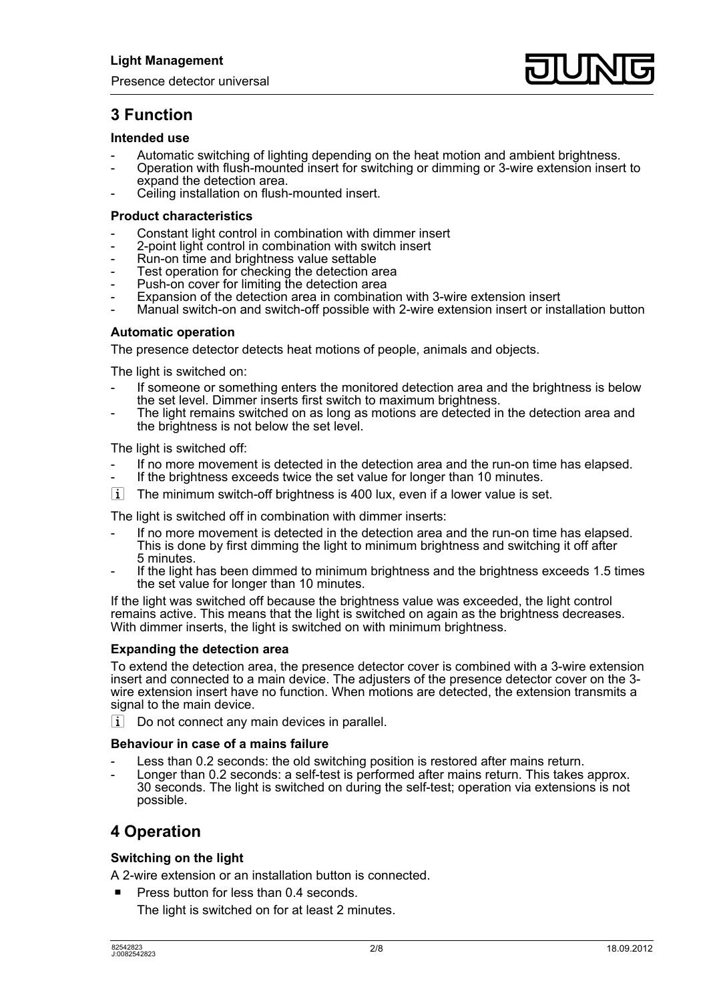# **3 Function**

## **Intended use**

- Automatic switching of lighting depending on the heat motion and ambient brightness.
- Operation with flush-mounted insert for switching or dimming or 3-wire extension insert to expand the detection area.
- Ceiling installation on flush-mounted insert.

### **Product characteristics**

- Constant light control in combination with dimmer insert
- 2-point light control in combination with switch insert
- Run-on time and brightness value settable
- Test operation for checking the detection area
- Push-on cover for limiting the detection area
- Expansion of the detection area in combination with 3-wire extension insert
- Manual switch-on and switch-off possible with 2-wire extension insert or installation button

## **Automatic operation**

The presence detector detects heat motions of people, animals and objects.

The light is switched on:

- If someone or something enters the monitored detection area and the brightness is below the set level. Dimmer inserts first switch to maximum brightness.
- The light remains switched on as long as motions are detected in the detection area and the brightness is not below the set level.

The light is switched off:

- If no more movement is detected in the detection area and the run-on time has elapsed.
- If the brightness exceeds twice the set value for longer than 10 minutes.
- $\overline{ii}$  The minimum switch-off brightness is 400 lux, even if a lower value is set.

The light is switched off in combination with dimmer inserts:

- If no more movement is detected in the detection area and the run-on time has elapsed. This is done by first dimming the light to minimum brightness and switching it off after 5 minutes.
- If the light has been dimmed to minimum brightness and the brightness exceeds 1.5 times the set value for longer than 10 minutes.

If the light was switched off because the brightness value was exceeded, the light control remains active. This means that the light is switched on again as the brightness decreases. With dimmer inserts, the light is switched on with minimum brightness.

## **Expanding the detection area**

To extend the detection area, the presence detector cover is combined with a 3-wire extension insert and connected to a main device. The adjusters of the presence detector cover on the 3 wire extension insert have no function. When motions are detected, the extension transmits a signal to the main device.

 $\overline{\mathbf{i}}$  Do not connect any main devices in parallel.

## **Behaviour in case of a mains failure**

- Less than 0.2 seconds: the old switching position is restored after mains return.
- Longer than 0.2 seconds: a self-test is performed after mains return. This takes approx. 30 seconds. The light is switched on during the self-test; operation via extensions is not possible.

## **4 Operation**

## **Switching on the light**

A 2-wire extension or an installation button is connected.

Press button for less than 0.4 seconds.

The light is switched on for at least 2 minutes.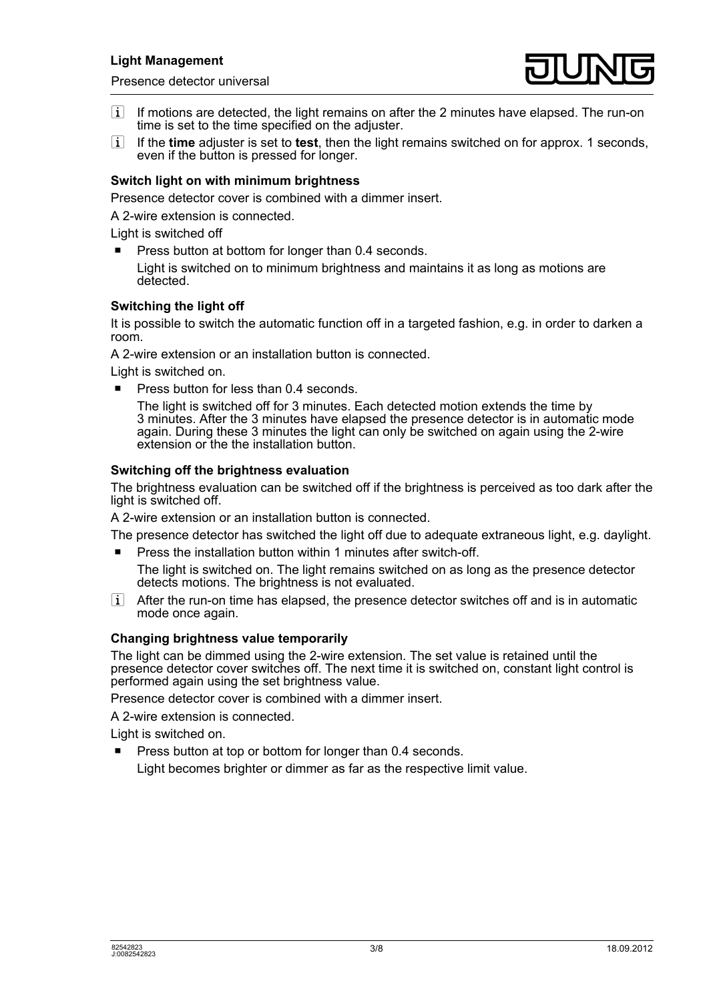Presence detector universal



- $\left| i \right|$  If motions are detected, the light remains on after the 2 minutes have elapsed. The run-on time is set to the time specified on the adjuster.
- i If the **time** adjuster is set to **test**, then the light remains switched on for approx. 1 seconds, even if the button is pressed for longer.

## **Switch light on with minimum brightness**

Presence detector cover is combined with a dimmer insert.

A 2-wire extension is connected.

Light is switched off

- Press button at bottom for longer than 0.4 seconds.
	- Light is switched on to minimum brightness and maintains it as long as motions are detected.

## **Switching the light off**

It is possible to switch the automatic function off in a targeted fashion, e.g. in order to darken a room.

A 2-wire extension or an installation button is connected.

Light is switched on.

Press button for less than 0.4 seconds.

The light is switched off for 3 minutes. Each detected motion extends the time by 3 minutes. After the 3 minutes have elapsed the presence detector is in automatic mode again. During these 3 minutes the light can only be switched on again using the 2-wire extension or the the installation button.

## **Switching off the brightness evaluation**

The brightness evaluation can be switched off if the brightness is perceived as too dark after the light is switched off.

A 2-wire extension or an installation button is connected.

The presence detector has switched the light off due to adequate extraneous light, e.g. daylight.

 $\blacksquare$  Press the installation button within 1 minutes after switch-off.

The light is switched on. The light remains switched on as long as the presence detector detects motions. The brightness is not evaluated.

 $\overline{ii}$  After the run-on time has elapsed, the presence detector switches off and is in automatic mode once again.

## **Changing brightness value temporarily**

The light can be dimmed using the 2-wire extension. The set value is retained until the presence detector cover switches off. The next time it is switched on, constant light control is performed again using the set brightness value.

Presence detector cover is combined with a dimmer insert.

A 2-wire extension is connected.

Light is switched on.

**Press button at top or bottom for longer than 0.4 seconds.** Light becomes brighter or dimmer as far as the respective limit value.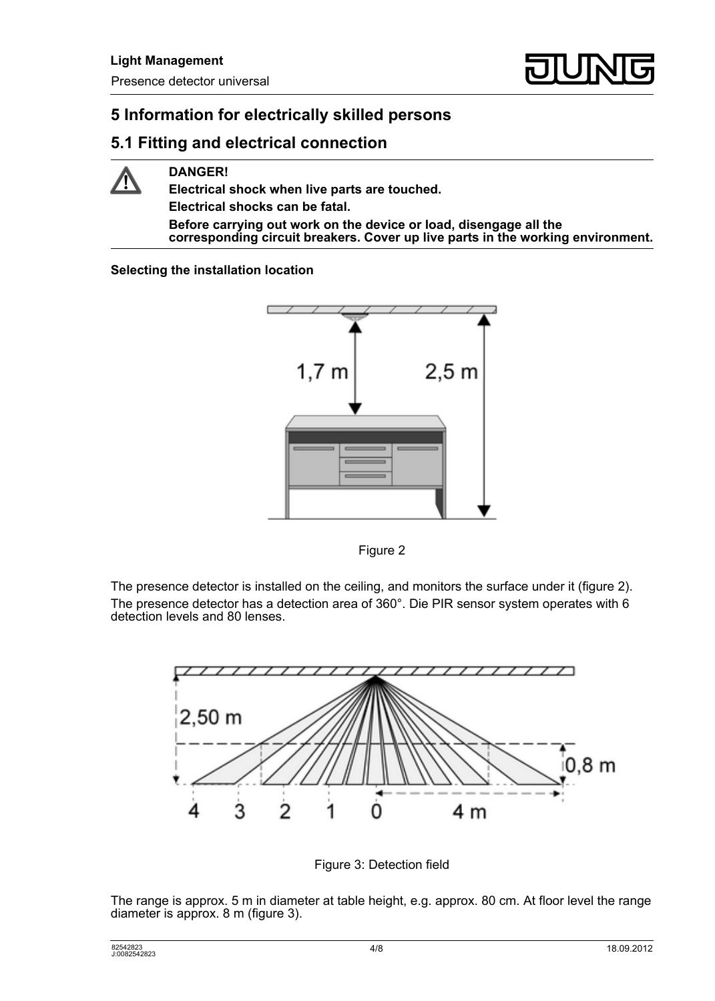# **5 Information for electrically skilled persons**

## **5.1 Fitting and electrical connection**



**DANGER!** 

**Electrical shock when live parts are touched. Electrical shocks can be fatal. Before carrying out work on the device or load, disengage all the corresponding circuit breakers. Cover up live parts in the working environment.** 

## **Selecting the installation location**





The presence detector is installed on the ceiling, and monitors the surface under it (figure 2). The presence detector has a detection area of 360°. Die PIR sensor system operates with 6 detection levels and 80 lenses.



Figure 3: Detection field

The range is approx. 5 m in diameter at table height, e.g. approx. 80 cm. At floor level the range diameter is approx. 8 m (figure 3).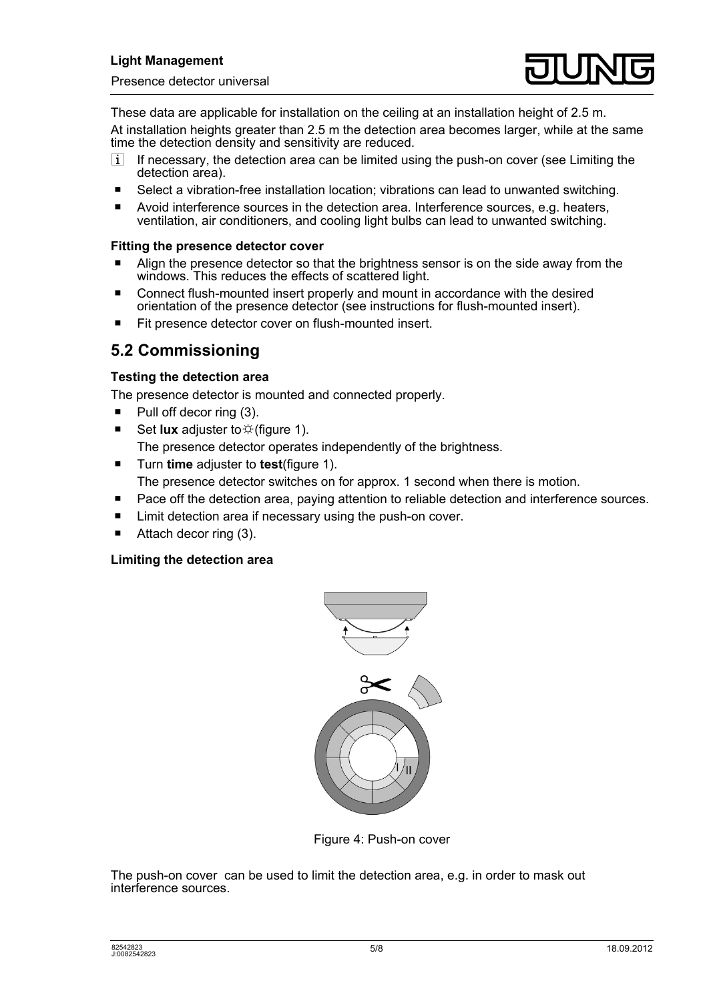

These data are applicable for installation on the ceiling at an installation height of 2.5 m. At installation heights greater than 2.5 m the detection area becomes larger, while at the same time the detection density and sensitivity are reduced.

- $\overline{1}$  If necessary, the detection area can be limited using the push-on cover (see Limiting the detection area).
- $\blacksquare$  Select a vibration-free installation location; vibrations can lead to unwanted switching.
- $\blacksquare$  Avoid interference sources in the detection area. Interference sources, e.g. heaters, ventilation, air conditioners, and cooling light bulbs can lead to unwanted switching.

## **Fitting the presence detector cover**

- Align the presence detector so that the brightness sensor is on the side away from the windows. This reduces the effects of scattered light.
- Connect flush-mounted insert properly and mount in accordance with the desired orientation of the presence detector (see instructions for flush-mounted insert).
- $\blacksquare$  Fit presence detector cover on flush-mounted insert.

## **5.2 Commissioning**

## **Testing the detection area**

The presence detector is mounted and connected properly.

- $\blacksquare$  Pull off decor ring (3).
- Set **lux** adjuster to  $\ddot{\varphi}$  (figure 1). The presence detector operates independently of the brightness.
- Turn **time** adjuster to **test**(figure 1).
	- The presence detector switches on for approx. 1 second when there is motion.
- Pace off the detection area, paying attention to reliable detection and interference sources.
- $\blacksquare$  Limit detection area if necessary using the push-on cover.
- Attach decor ring (3).

## **Limiting the detection area**



Figure 4: Push-on cover

The push-on cover can be used to limit the detection area, e.g. in order to mask out interference sources.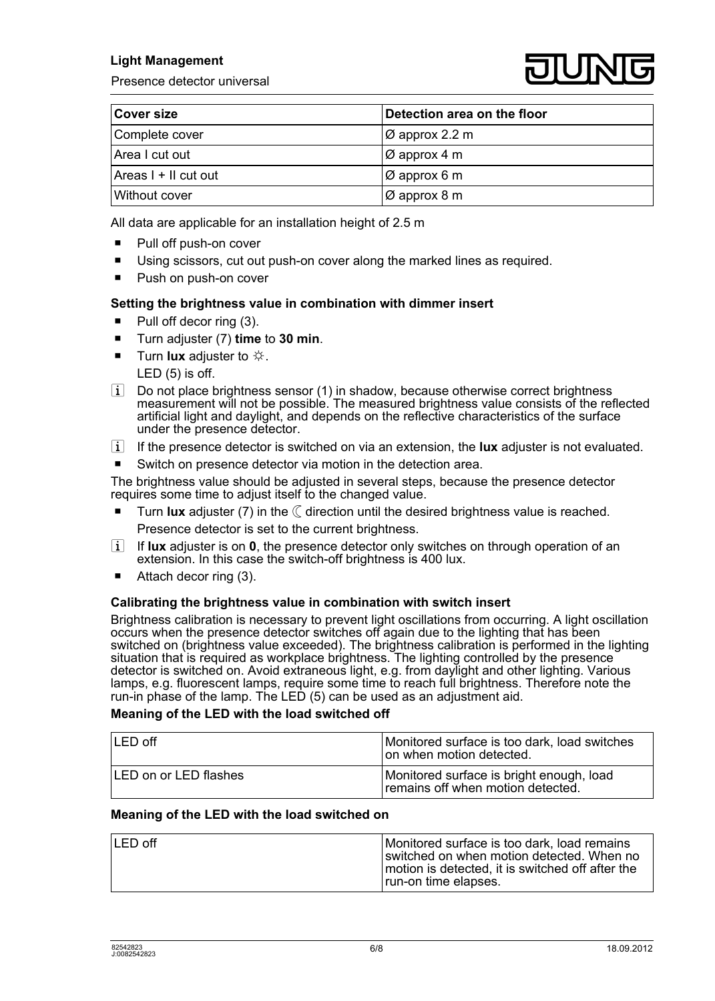## **Light Management**

Presence detector universal



| <b>Cover size</b>      | Detection area on the floor |
|------------------------|-----------------------------|
| Complete cover         | $\varnothing$ approx 2.2 m  |
| Area I cut out         | $\varnothing$ approx 4 m    |
| Areas $I + II$ cut out | $\varnothing$ approx 6 m    |
| Without cover          | IØ approx 8 m               |

All data are applicable for an installation height of 2.5 m

- $\blacksquare$  Pull off push-on cover
- Using scissors, cut out push-on cover along the marked lines as required.
- Push on push-on cover

## **Setting the brightness value in combination with dimmer insert**

- $\blacksquare$  Pull off decor ring (3).
- Turn adjuster (7) **time** to **30 min**.
- **Turn lux** adjuster to  $\ddot{\varphi}$ . LED (5) is off.
- $\left| i \right|$  Do not place brightness sensor (1) in shadow, because otherwise correct brightness measurement will not be possible. The measured brightness value consists of the reflected artificial light and daylight, and depends on the reflective characteristics of the surface under the presence detector.
- i If the presence detector is switched on via an extension, the **lux** adjuster is not evaluated.
- $\blacksquare$  Switch on presence detector via motion in the detection area.

The brightness value should be adjusted in several steps, because the presence detector requires some time to adjust itself to the changed value.

- Turn **lux** adjuster (7) in the  $\mathbb C$  direction until the desired brightness value is reached. Presence detector is set to the current brightness.
- i If **lux** adjuster is on **0**, the presence detector only switches on through operation of an extension. In this case the switch-off brightness is 400 lux.
- Attach decor ring (3).

## **Calibrating the brightness value in combination with switch insert**

Brightness calibration is necessary to prevent light oscillations from occurring. A light oscillation occurs when the presence detector switches off again due to the lighting that has been switched on (brightness value exceeded). The brightness calibration is performed in the lighting situation that is required as workplace brightness. The lighting controlled by the presence detector is switched on. Avoid extraneous light, e.g. from daylight and other lighting. Various lamps, e.g. fluorescent lamps, require some time to reach full brightness. Therefore note the run-in phase of the lamp. The LED (5) can be used as an adjustment aid.

#### **Meaning of the LED with the load switched off**

| $LED$ off                    | Monitored surface is too dark, load switches<br>on when motion detected.      |
|------------------------------|-------------------------------------------------------------------------------|
| <b>LED on or LED flashes</b> | Monitored surface is bright enough, load<br>remains off when motion detected. |

#### **Meaning of the LED with the load switched on**

| $LED$ off | Monitored surface is too dark, load remains<br>switched on when motion detected. When no<br>motion is detected, it is switched off after the |
|-----------|----------------------------------------------------------------------------------------------------------------------------------------------|
|           | run-on time elapses.                                                                                                                         |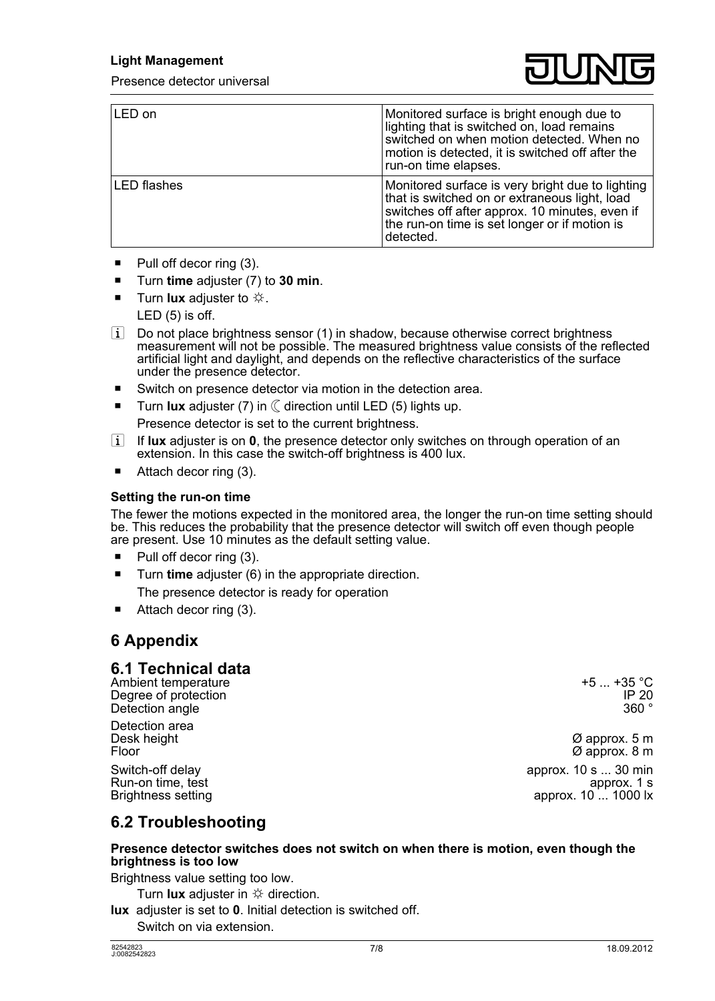Presence detector universal



| LED on             | Monitored surface is bright enough due to<br>lighting that is switched on, load remains<br>switched on when motion detected. When no<br>motion is detected, it is switched off after the<br>run-on time elapses.  |
|--------------------|-------------------------------------------------------------------------------------------------------------------------------------------------------------------------------------------------------------------|
| <b>LED</b> flashes | Monitored surface is very bright due to lighting<br>that is switched on or extraneous light, load<br>switches off after approx. 10 minutes, even if<br>the run-on time is set longer or if motion is<br>detected. |

- $\blacksquare$  Pull off decor ring (3).
- o Turn **time** adjuster (7) to **30 min**.
- **Turn lux** adjuster to  $\ddot{\varphi}$ . LED (5) is off.
- $\overline{ii}$  Do not place brightness sensor (1) in shadow, because otherwise correct brightness measurement will not be possible. The measured brightness value consists of the reflected artificial light and daylight, and depends on the reflective characteristics of the surface under the presence detector.
- Switch on presence detector via motion in the detection area.
- $\blacksquare$  Turn **lux** adjuster (7) in  $\mathbb C$  direction until LED (5) lights up.

Presence detector is set to the current brightness.

- **i** If **lux** adjuster is on **0**, the presence detector only switches on through operation of an extension. In this case the switch-off brightness is 400 lux.
- $\blacksquare$  Attach decor ring (3).

## **Setting the run-on time**

The fewer the motions expected in the monitored area, the longer the run-on time setting should be. This reduces the probability that the presence detector will switch off even though people are present. Use 10 minutes as the default setting value.

- $\blacksquare$  Pull off decor ring (3).
- Turn **time** adjuster (6) in the appropriate direction. The presence detector is ready for operation
- Attach decor ring (3).

## **6 Appendix**

## **6.1 Technical data**

Ambient temperature +5 ... +35 °C<br>Degree of protection +5 ... +35 °C Degree of protection in the control of the control of the control of the control of the control of the control of the control of the control of the control of the control of the control of the control of the control of the Detection angle

Detection area<br>Desk height

Run-on time, test<br>Brightness setting

Desk height  $\emptyset$  approx. 5 m<br>Floor  $\emptyset$  approx. 5 m  $\varnothing$  approx. 8 m Switch-off delay approx. 10 s ... 30 min<br>Run-on time, test approx. 1 s approx.  $10 \ldots 1000$  lx

## **6.2 Troubleshooting**

#### **Presence detector switches does not switch on when there is motion, even though the brightness is too low**

Brightness value setting too low.

Turn **lux** adjuster in  $\ddot{\varphi}$  direction.

**lux** adjuster is set to **0**. Initial detection is switched off. Switch on via extension.